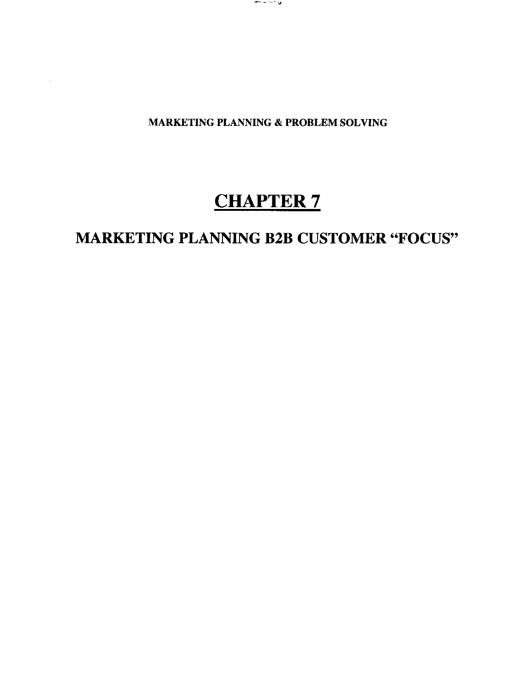**MARKETING PLANNING** & **PROBLEM SOLVING** 

بالأبرسا بمنشط

# **CHAPTER 7**

# **MARKETING PLANNING B2B CUSTOMER "FOCUS"**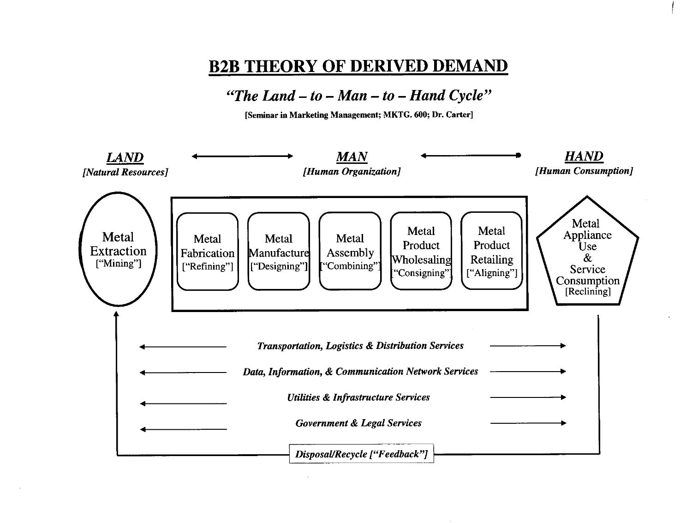# **B2B THEORY OF DERIVED DEMAND**

**"The Land** - *to* - **Man** - *to* - **Hand Cycle"** 

**[Seminar in Marketing Management; MKTG. 600; Dr. Carter]** 

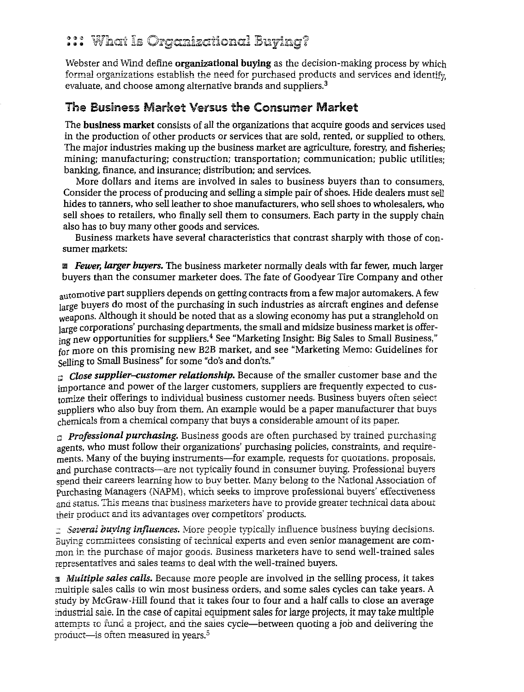## **:::** What Is Organizational Buying?

Webster and Wind define **organizational buying** as the decision-making process by which formal organizations establish the need for purchased products and services and identify, evaluate, and choose among alternative brands and suppliers.<sup>3</sup>

#### **The Business** Market **Versus** the **Consumer**

The business **market** consists of all the organizations that acquire goods and services used in the production of other products or services that are sold, rented, or supplied to others. The major industries making up the business market are agriculture, forestry, and fisheries; mining; manufacturing; construction; transportation; communication; public utilities; banking, finance, and insurance; distribution; and services.

More dollars and items are involved in sales to business buyers than to consumers. Consider the process of producing and selling a simple pair of shoes. Hide dealers must sell hides to tanners, who sell leather to shoe manufacturers, who sell shoes to wholesalers, who sell shoes to retailers, who finally sell them to consumers. Each party in the supply chain also has to buy many other goods and services.

Business markets have several characteristics that contrast sharply with those of consumer markets:

@ *Fewer, larger buyers.* The business marketer normally deals with far fewer, much larger buyers than the consumer marketer does. The fate of Goodyear Tire Company and other

automotive part suppliers depends on getting contracts from a few major automakers. A few large buyers do most of the purchasing in such industries as aircraft engines and defense weapons. Although it should be noted that as a slowing economy has put a stranglehold on large corporations' purchasing departments, the small and midsize business market is offer- $\frac{1}{2}$ ing new opportunities for suppliers.<sup>4</sup> See "Marketing Insight: Big Sales to Small Business," for more on this promising new B2B market, and see "Marketing Memo: Guidelines for Selling to Small Business" for some "do's and don'ts."

*Close supplier-customer relationship.* Because of the smaller customer base and the importance and power of the larger customers, suppliers are frequently expected to customize their offerings to individual business customer needs. Business buyers often select suppliers who also buy from them. An example would be a paper manufacturer that buys chemicals from a chemical company that buys a considerable amount of its paper.

*Professional purchasing.* Business goods are often purchased by trained purchasing agents, who must follow their organizations' purchasing policies, constraints, and requirements. Many of the buying instruments-for example, requests for quotations, proposals, and purchase contracts-are not typically found in consumer buying. Professional buyers spend their careers learning how to buy better. Many belong to the National Association of Purchasing Managers (NAPM), which seeks to improve professional buyers' effectiveness end status. This means that business marketers have to provide greater technical data about<br>their product and its advantages over competitors' products.<br>*Several buying influences*. More people typically influence business their produci and its advantages over competitors' products.

Buving committees consisting of technical experts and even senior management are comman **ir.** the purchase of major goods. Business marketers have to send well-trained sales representatives and sales teams to deal with the well-trained buyers.

*3 Multiple sales calls.* Because more people are involved in the selling process, it takes multiple sales calls to win most business orders, and some sales cycles can take years. A study by McGraw-Hill found that it takes four to four and a half calls to close an average indusmal sale. In the case of capitai equipment sales for large projects, it may take multiple attempts **10** fund 2 project, and the sales cycle-between quoting a job and delivering the product—is often measured in years. $5$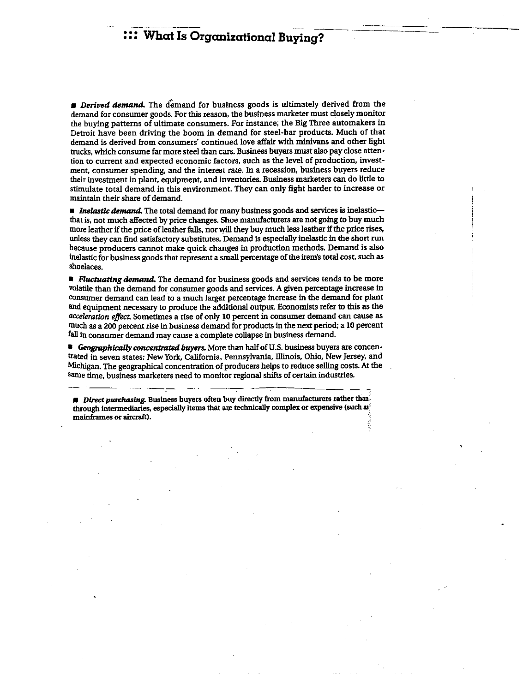**Derived demand.** The demand for business goods is ultimately derived from the demand for consumer goods. For this reason, the business marketer must closely monitor the buying patterns of ultimate consumers. For instance, the Big Three automakers in Detroit have been driving the boom in demand for steel-bar products. Much of that demand is derived from consumers' continued love affair with **minivans** and other light trucks, which consume far more steel than cars. Business buyers must also pay close attention to current and expected economic factors, such as the level of production, investment, consumer spending, and the interest rate. In a recession, business buyers reduce their investment in plant, equipment, and inventories. Business marketers **can** do little to stimulate total demand in this environment. They can only fight harder to increase or maintain their share of demand.

**Inelastic demand.** The total demand for many business goods and services is inelasticthat is, not much affected by price changes. Shoe manufacturers **are** not going to buy much more leather if the price of leather falls, nor will they buy much less leather if the price rises, unless they can find satisfactory substitutes. Demand is especially inelastic in the short **run**  because producers cannot make quick changes in production methods. Demand is also inelastic for business goods that represent a small percentage of the item's total cost, such as shoelaces.

**F** Fluctuating demand. The demand for business goods and services tends to be more volatile than the demand for consumer goods and services. A given percentage increase in consumer demand can lead to a much larger percentage increase in the demand for plant and equipment necessary to produce the additional output Economists refer to this as the **accelemtwn** effect. Sometimes a rise of only 10 percent in consumer demand can cause as much as a 200 percent rise in business demand for products in the next period; a 10 percent **fall** in consumer demand may cause a complete collapse in business demand.

Geographically concentrated buyers. More than half of U.S. business buyers are concenfated in seven states: NewYork, California, Pennsylvania, Illinois, Ohio, New Jersey, and Michigan. The geographical concentration of producers helps to reduce selling costs. At the same time, business marketers need to monitor regional shirts of certain industries. trated in seven states: New York, California, Pennsylvania, Illinois, Ohio, New Jersey, an<br>Michigan. The geographical concentration of producers helps to reduce selling costs. At the<br>same time, business marketers need to m

**Direct purchasing.** Business buyers often buy directly from manufacturers rather than through intermediaries, especially items that are technically complex or expensive (such as mainframes or aircraft).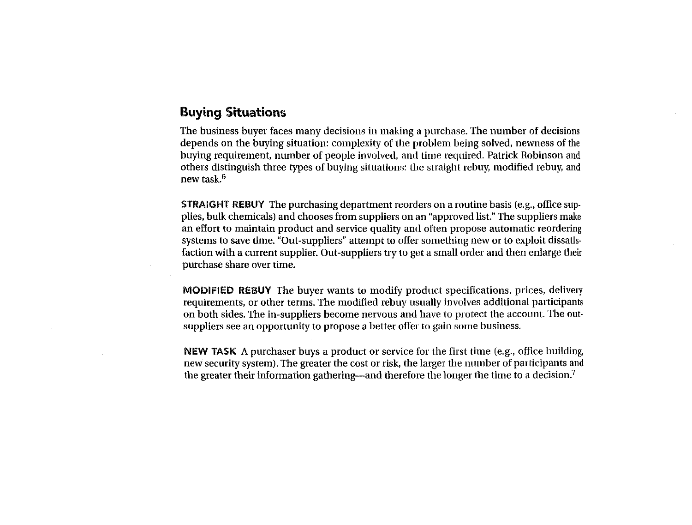#### **Situations**

The business buyer faces many decisions in making a purchase. The number of decisions depends on the buying situation: complexity of tlie problem being solved, newness of the buying requirement, number of people involved, and time required. Patrick Robinson and others distinguish three types of buying situations: the straight rebuy, modified rebuy, and new task.6

**STRAIGHT REBUY** The purchasing department reorders on a routine basis (e.g., office supplies, bulk chemicals) and chooses from suppliers on an "approved list." The suppliers make an effort to maintain product and service quality and often piopose automatic reordering systems to save time. "Out-suppliers" attempt to offer something new or to exploit dissatisfaction with a current supplier. Out-suppliers try to get a small order and then enlarge their purchase share over time.

MODIFIED **REBUY** The buyer wants to modify product specifications, prices, delivery requirements, or other terms. The modified rebuy usually involves additional participants on both sides. The in-suppliers become nervous and have to protect the account. The outsuppliers see an opportunity to propose a better offer to gain some business.

**NEW** TASK **A** purchaser buys a product or service for the first time (e.g., office building, new security system). The greater the cost or risk, the larger the number of participants and the greater their information gathering—and therefore the longer the time to a decision.<sup>7</sup>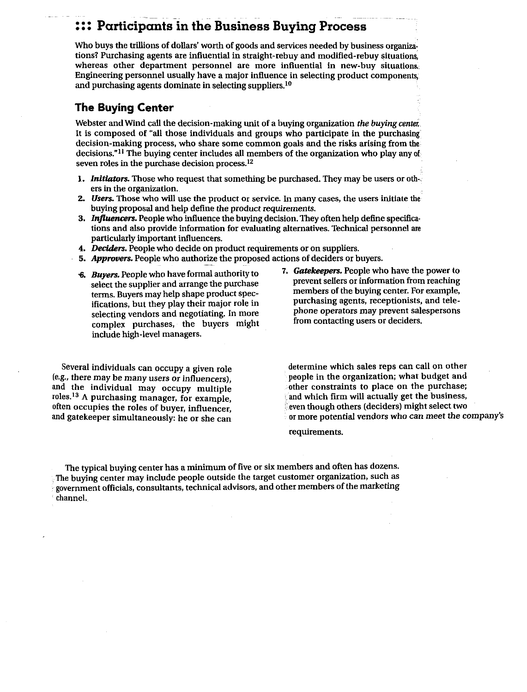#### : : : **participants in the Business Buying process**

Who buys the trillions of dollars' worth of goods and services needed by business organizations? Purchasing agents are influential in straight-rebuy and modified-rebuy situations, whereas other department personnel are more influential in new-buy situations. Engineering personnel usually have a major influence in selecting product components, and purchasing agents dominate in selecting suppliers.<sup>10</sup>

#### **The Buying Center**

Webster and Wind call the decision-making unit of a buying organization the buying center. It is composed of "all those individuals and groups who participate in the purchasing decision-making process, who share some common goals and the risks arising from the decisions." $^{11}$  The buying center includes all members of the organization who play any of seven roles in the purchase decision process.12

- *1. Initiators.* Those who request that something be purchased. They may be users or others in the organization.
- 2. **Users.** Those who will use the product or service. In many cases, the users initiate the buying proposal and help define the product requirements.
- *3. Influencers.* People who influence the buying decision. They often help define specifications and also provide information for evaluating alternatives. Technical personnel **are**  particularly important influencers.
- *4. Deciders.* People who decide on product requirements or on suppliers.
- 5. *Approvers*. People who authorize the proposed actions of deciders or buyers.<br>- **Cateliae Proposed actions of the proposed actions** of deciders of buyers. People who have the power to
- +. *~uyers.* People who have formal authority to **7-** *Gatekeepers-* who have the power selecting vendors and negotiating. In more phone operators may prevent sales<br>complex purchases the buyers might from contacting users or deciders. complex purchases, the buyers might include high-level managers.

**heart is there may be many users or influencers**), **the superfield in the organization; what budget and the individual may occupy multiple solutions of the constraints to place on the purchase;** and the individual may occupy multiple other constraints to place on the purchase;<br>roles.<sup>13</sup> A purchasing manager, for example and which firm will actually get the business, roles.<sup>13</sup> A purchasing manager, for example, and which firm will actually get the business, often occupies the roles of buyer, influencer and gatekeeper simultaneously: he or she can

prevent sellers or information from reaching<br>members of the buying center. For example, terms. Buyers may help shape product spec-<br>ifications, but they play their major role in purchasing agents, receptionists, and teleifications, but they play their major role in purchasing agents, receptionists, and tele-<br>colecting vandors and negotiating in more phone operators may prevent salespersons

Several individuals can occupy a given role  $\mathbf{g}$  determine which sales reps can call on other several individuals can occupy a given role determine which sales reps can call on other often occupies the roles of buyer, influencer,<br>and gatekeeper simultaneously: he or she can<br>or more potential vendors who can meet the company's

requirements.

The typical buying center has a minimum of five or six members and often has dozens. The buying center may include people outside the target customer organization, such as government officials, consultants, technical advisors, and other members of the marketing channel.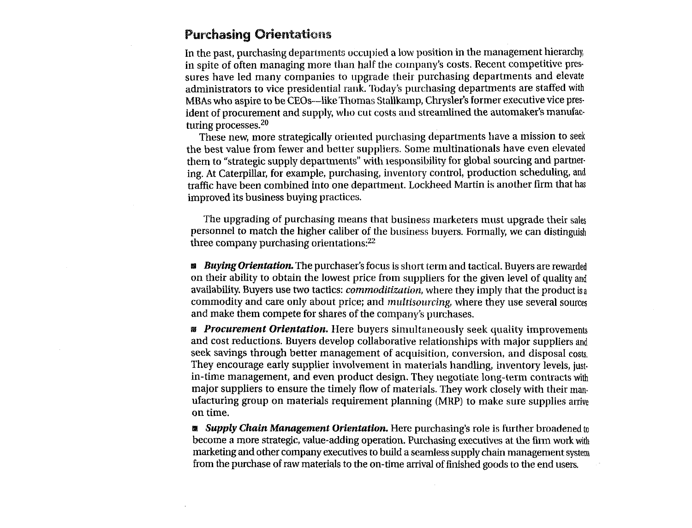#### **Purchasing Orientations**

In the past, purchasing departments occupied a low position in the management hierarchy, in spite of often managing more than half the company's costs. Recent competitive pressures have led many companies to upgrade their purchasing departments and elevate administrators to vice presidential rank. Today's purchasing departments are staffed with MBAs who aspire to be CEOs--like Thomas Stallkamp, Chrysler's former executive vice president of procurement and supply, who cut costs and streamlined the automaker's manufacturing processes. $20$ 

These new, more strategically oriented purchasing departments have a mission to seek the best value from fewer and better suppliers. Some multinationals have even elevated them to "strategic supply departments" with lesponsibility for global sourcing and partnering. At Caterpillar, for example, purchasing, inventory control, production scheduling, and traffic have been combined into one department. Lockheed Martin is another firm that has improved its business buying practices.

The upgrading of purchasing means that business marketers must upgrade their sales personnel to match the higher caliber of the business buyers. Formally, we can distinguish three company purchasing orientations: $^{22}$ 

*m Buying Orientation.* The purchaser's focus is short term and tactical. Buyers are rewarded on their ability to obtain the lowest price from suppliers for the given level of quality and availability. Buyers use two tactics: *commoditization*, where they imply that the product is a commodity and care only about price; and multisourcing, where they use several sources and make them compete for shares of the company's purchases.

*Procurement Orientation.* Here buyers simultaneously seek quality improvements and cost reductions. Buyers develop collaborative relationships with major suppliers and seek savings through better management of acquisition, conversion, and disposal costs They encourage early supplier involvement in materials handling, inventory levels, just. in-time management, and even product design. They negotiate long-term contracts with major suppliers to ensure the timely flow of materials. They work closely with their manufacturing group on materials requirement planning (MRP) to make sure supplies arrive on time.

**EXECUTE:** Supply Chain Management Orientation. Here purchasing's role is further broadened to become a more strategic, value-adding operation. Purchasing executives at the firm work with marketing and other company executives to build a seamless supply chain management system from the purchase of raw materials to the on-time arrival of finished goods to the end users.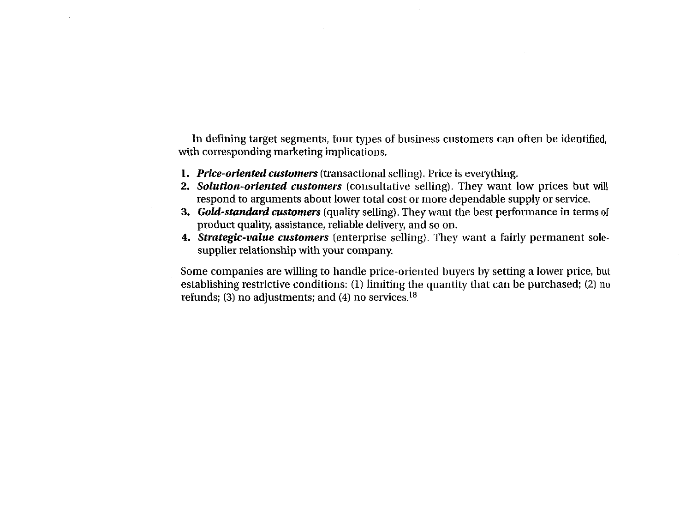In defining target segments, four types of business customers can often be identified, with corresponding marketing implications.

- *1. Price-oriented customers* (transactional selling). Price is everything.
- 2. *Solution-oriented customers* (consultative selling). They want low prices but will respond to arguments about lower total cost or more dependable supply or service.
- **3. Gold-standard customers** (quality selling). They want the best performance in terms of product quality, assistance, reliable delivery, and so on.
- 4. *Strategic-value customers* (enterprise selling). They want a fairly permanent solesupplier relationship with your company.

Some companies are willing to handle price-oriented buyers by setting a lower price, but establishing restrictive conditions: (1) limiting the quantity that can be purchased; (2) no refunds; **(3)** no adjustments; and (4) no services.18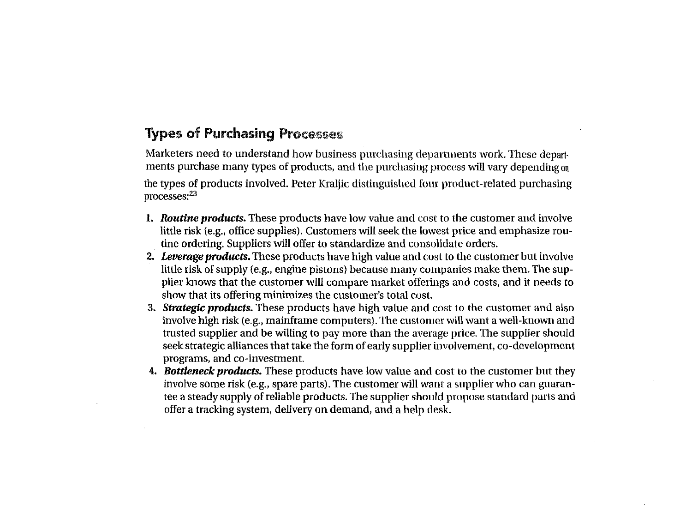## **Types of Purchasing Processes**

Marketers need to understand how business purchasing departments work. These depart. ments purchase many types of products, and the purchasing process will vary depending on the types of products involved. Peter Kraljic distinguistied four product-related purchasing processes:23

- *1. Routine products.* These products have low value and cost to the customer and involve little risk (e.g., office supplies). Customers will seek the lowest price and emphasize routine ordering. Suppliers will offer to standardize and consolidate orders.
- 2. *Leverage products.* These products have high value and cost lo the customer but involve little risk of supply (e.g., engine pistons) because many companies make them. The supplier knows that the customer will compare market offerings and costs, and it needs to show that its offering minimizes the customer's total cost.
- *3. Strategic products.* These products have high value and cost to the customer and also involve high risk (e.g., mainframe computers). The customer will want a well-known and trusted supplier and be willing to pay more than the average price. The supplier should seek strategic alliances that take the form of early supplier involvement, co-development programs, and co-investment.
- 4. *Bottleneck products.* These products have low value and cost lo the customer but they involve some risk (e.g., spare parts). The customer will want a supplier who can guarantee a steady supply of reliable products. The supplier should propose standard parts and offer a tracking system, delivery on demand, and a help desk.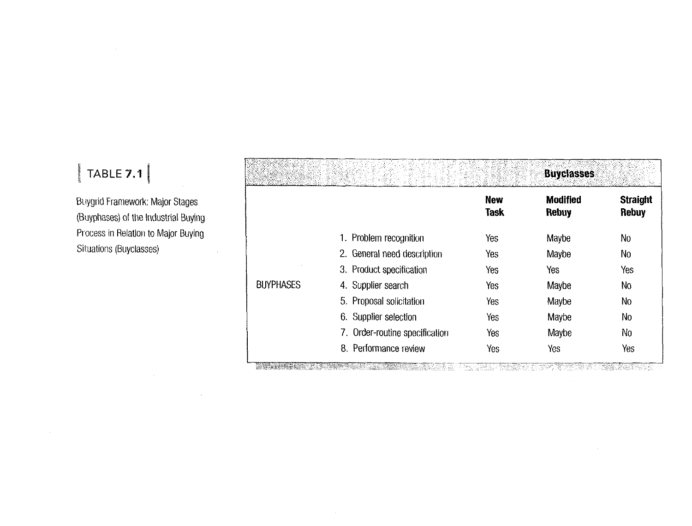# a TABLE **7.1**

Buygrid Framework: Major Stages (Buyphases) of the Industrial Buying Process in Relation to Major Buying Situations (Buyclasses)

 $\sim 10^7$ 

 $\sim 10$ 

|                  |                                | <b>Buyclasses</b>         |                                 |                          |
|------------------|--------------------------------|---------------------------|---------------------------------|--------------------------|
|                  |                                | <b>New</b><br><b>Task</b> | <b>Modified</b><br><b>Rebuy</b> | <b>Straight</b><br>Rebuy |
|                  | 1. Problem recognition         | Yes                       | Maybe                           | No                       |
|                  | 2. General need description    | Yes                       | Maybe                           | No.                      |
|                  | 3. Product specification       | Yes                       | Yes                             | <b>Yes</b>               |
| <b>BUYPHASES</b> | 4. Supplier search             | Yes                       | Maybe                           | N <sub>0</sub>           |
|                  | 5. Proposal solicitation       | Yes                       | Maybe                           | <b>No</b>                |
|                  | 6. Supplier selection          | Yes                       | Maybe                           | N <sub>0</sub>           |
|                  | 7. Order-routine specification | Yes                       | Maybe                           | No.                      |
|                  | 8. Performance review          | Yes                       | Yes                             | Yes                      |

 $\sim 10^7$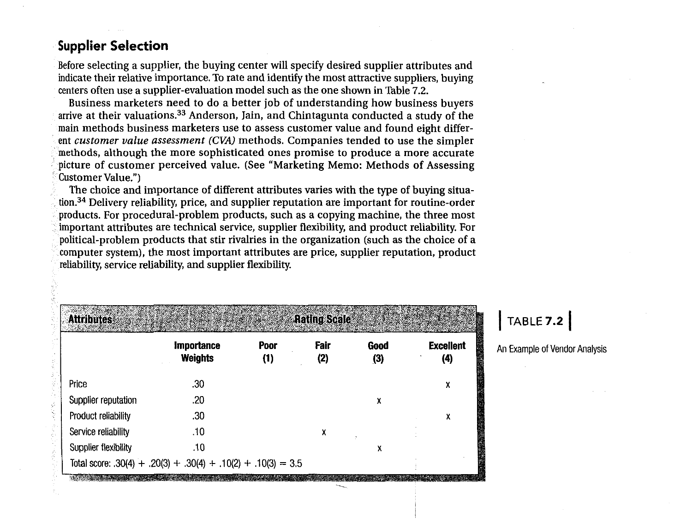#### **Supplier Selection**

Before selecting a supplier, the buying center will specify desired supplier attributes and indicate their relative importance. To rate and identify the most attractive suppliers, buying centers often use a supplier-evaluation model such as the one shown in Table 7.2.

Business marketers need to do a better job of understanding how business buyers arrive at their valuations.<sup>33</sup> Anderson, Jain, and Chintagunta conducted a study of the main methods business marketers use to assess customer value and found eight different *customer value assessment (CVA)* methods. Companies tended to use the simpler methods, although the more sophisticated ones promise to produce a more accurate picture of customer perceived value. (See "Marketing Memo: Methods of Assessing Customer Value.")

The choice and importance of different attributes varies with the type of buying situa- $\mu$ tion.<sup>34</sup> Delivery reliability, price, and supplier reputation are important for routine-order products. For procedural-problem products, such as a copying machine, the three most important attributes are technical service, supplier flexibility, and product reliability. For political-problem products that stir rivalries in the organization (such as the choice of a computer system), the most important attributes are price, supplier reputation, product reliability, service reliability, and supplier flexibility.

|                                                                 | <b>Importance</b><br><b>Weights</b> | Poor<br>(1) | <b>Fair</b><br>(2) | Good<br>(3) | <b>Excellent</b><br>$\left( 4\right)$ |
|-----------------------------------------------------------------|-------------------------------------|-------------|--------------------|-------------|---------------------------------------|
| Price                                                           | .30                                 |             |                    |             | χ                                     |
| Supplier reputation                                             | .20                                 |             |                    | Χ           |                                       |
| Product reliability                                             | .30                                 |             |                    |             | χ                                     |
| Service reliability                                             | .10                                 |             | χ                  |             |                                       |
| Supplier flexibility                                            | .10                                 |             |                    | x           |                                       |
| Total score: $.30(4) + .20(3) + .30(4) + .10(2) + .10(3) = 3.5$ |                                     |             |                    |             |                                       |

I **TABLE 7.2** <sup>1</sup>

An Example of Vendor Analysis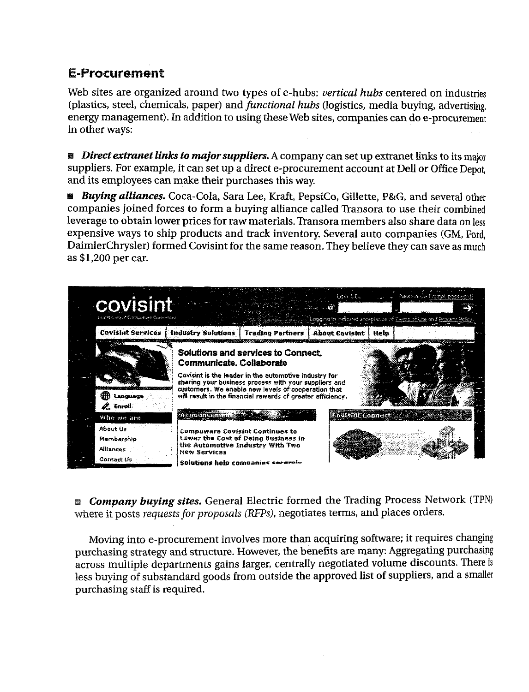### **E-Procurement**

Web sites are organized around two types of e-hubs: *vertical hubs* centered on industries (plastics, steel, chemicals, paper) and *functional hubs* (logistics, media buying, advertising, energy management). In addition to using these Web sites, companies can do e-procurement in other ways:

**a** *Direct extranet links to major suppliers.* A company can set up extranet links to its major suppliers. For example, it can set up a direct e-procurement account at Dell or Office Depot, and its employees can make their purchases this way.

**<sup>m</sup>***Buying alliances.* Coca-Cola, Sara Lee, Kraft, PepsiCo, Gillette, P&G, and several other companies joined forces to form a buying alliance called Transora to use their combined leverage to obtain lower prices for raw materials. Transora members also share data on less expensive ways to ship products and track inventory. Several auto companies (GM, Ford, DaimlerChrysler) formed Covisint for the same reason. They believe they can save as much as \$1,200 per car.



*Company buying sites.* General Electric formed the Trading Process Network (TPN) where it posts *requests for proposals (RFPs),* negotiates terms, and places orders.

Moving into e-procurement involves more than acquiring software; it requires changing purchasing strategy and structure. However, the benefits are many: Aggregating purchasing across multiple departments gains larger, centrally negotiated volume discounts. There is less buying of substandard goods from outside the approved list of suppliers, and a smaller purchasing staff is required.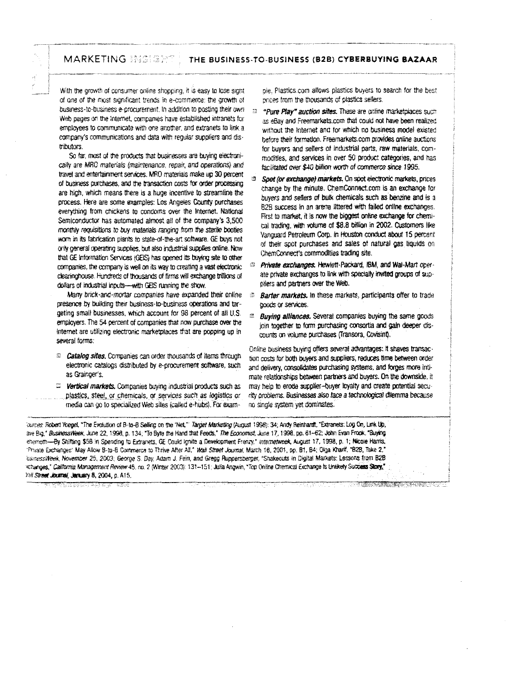#### **MARKETING INSIGNT THE BUSINESS-TO-BUSINESS (B2B) CYBERBUYING BAZAAR**

With the growth of consumer griline shopping, it is easy to lose sight. of one of the most significant trends in e-commerce; the growth of business-to-business e-procurement, in addition to posting their own Web pages on the Internet, companies have established intranets for employees to communicate with one another, and extranets to link a company's communications and data with regular suppliers and distributors.

So far, most of the products that businesses are buying electronically are MRO materials (maintenance, repair, and operations) and travel and entertainment services. MRO materials make up 30 percent of business purchases, and the transaction costs for order processing. are high, which means there is a huge incentive to streamline the process. Here are some examples: Los Angeles County purchases everything from chickens to condoms over the Internet. National Semiconductor has automated almost all of the company's 3,500 monthly requisitions to buy materials ranging from the sterile booties wom in its fabrication plants to state-of-the-art software. GE buys not only general operating supplies, but also industrial supplies online. Now that GE Information Services (GEIS) has opened its buying site to other companies, the company is well on its way to creating a vast electronic clearinghouse. Hundreds of thousands of firms will exchange trillions of dollars of industrial inputs-with GEIS running the show.

Many brick-and-mortar companies have expanded their online presence by building their business-to-business operations and targeting small businesses, which account for 98 percent of all U.S. employers. The 54 percent of companies that now purchase over the internet are utilizing electronic marketplaces that are popping up in several forms:

- **Catalog sites.** Companies can order thousands of items through electronic catalogs distributed by e-procurement software, such as Grainger's.
- E Vertical markets. Companies buying industrial products such as plastics, steel, or chemicals, or services such as logistics or media can go to specialized Web sites (called e-hubs). For exam-

ple. Plastics.com allows plastics buyers to search for the best prices from the thousands of plastics sellers.

- "Pure Play" auction sites. These are online marketpiaces such as eBay and Freemarkets.com that could not have been realized. without the Internet and for which no business model existed before their formation. Freemarkets com provides online auctions for buyers and sellers of industrial parts, raw materials, commodities, and services in over 50 product categories, and has facilitated over \$40 billion worth of commerce since 1995.
- Spot (or exchange) markets. On spot electronic markets, prices 灗 change by the minute. ChemConnect.com is an exchange for buvers and sellers of bulk chemicals such as benzine and is a B2B success in an arena littered with failed online exchanges. First to market, it is now the biggest online exchange for chemical trading, with volume of \$8.8 billion in 2002. Customers like Vanguard Petroleum Corp. in Houston conduct about 15 percent of their spot purchases and sales of natural gas liquids on ChemConnect's commodities trading site.
- Private exchanges, Hewlett-Packard, IBM, and Wal-Mart oper- $\mathcal{D}$ ate private exchanges to link with specially invited groups of suppliers and partners over the Web.
- an<br>Cal Barter markets. In these markets, participants offer to trade coods or services.
- $\frac{1}{2}$ Buving alliances. Several companies buying the same goods join together to form purchasing consortia and gain deeper discounts on volume purchases (Transora, Covisint).

Online business buying offers several advantages: It shaves transaction costs for both buyers and suppliers, reduces time between order and delivery, consolidates purchasing systems, and forges more intimate relationships between partners and buyers. On the downside, it may help to erode supplier-buyer loyalty and create potential security problems. Businesses also face a technological dilemma because no single system vet dominates.

ources: Robert Yoeget, "The Evolution of B-to-B Selling on the 'Net," Target Marketing (August 1998): 34; Andy Reinhardt, "Extranets: Log On, Link Up, ave Big," BusinessWeek, June 22, 1998, p. 134; "To Byte the Hand that Feeds," The Economist, June 17, 1998, pp. 61-62; John Evan Frook, "Buying ehemoth-By Shifting \$5B in Spending to Extranets, GE Could Ignite a Development Frenzy," internetweek, August 17, 1998, p. 1; Nicole Harris, "Private Exchanges' May Allow B-to-B Commerce to Thrive After All," Wail Street Journal, March 16, 2001, pp. B1, B4; Olga Kharif, "B2B, Take 2," UsinessWeek, November 25, 2003; George S. Day, Adam J. Fein, and Gregg Ruppersberger, "Shakeouts in Digital Markets: Lessons from B2B vchanges," California Management Review 45, no. 2 (Winter 2003): 131-151; Julia Angwin, "Top Online Chemical Exchange is Untikely Success Story," Volt Street Journal, January 8, 2004, p. A15.